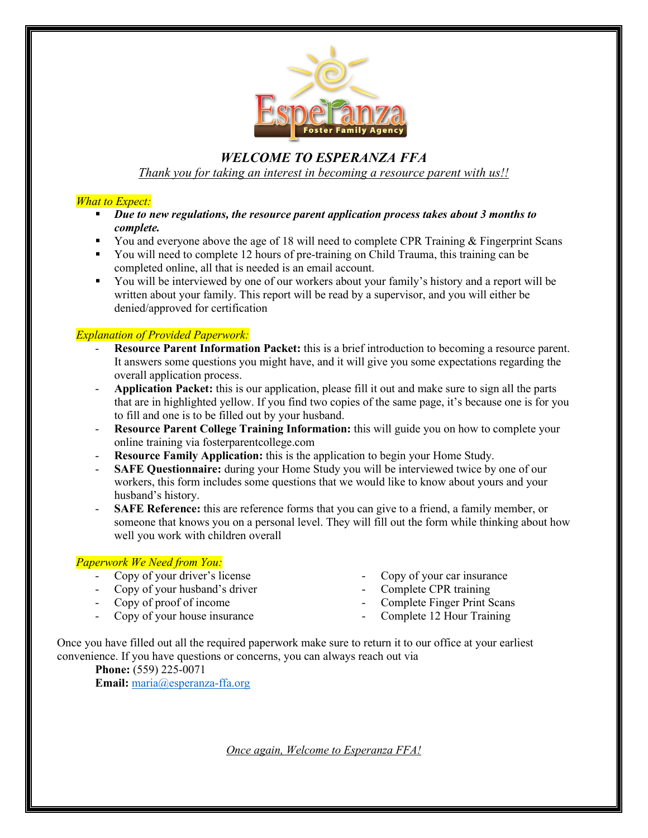

# *WELCOME TO ESPERANZA FFA Thank you for taking an interest in becoming a resource parent with us!!*

### *What to Expect:*

- *Due to new regulations, the resource parent application process takes about 3 months to complete.*
- You and everyone above the age of 18 will need to complete CPR Training  $&$  Fingerprint Scans
- You will need to complete 12 hours of pre-training on Child Trauma, this training can be completed online, all that is needed is an email account.
- You will be interviewed by one of our workers about your family's history and a report will be written about your family. This report will be read by a supervisor, and you will either be denied/approved for certification

### *Explanation of Provided Paperwork:*

- **Resource Parent Information Packet:** this is a brief introduction to becoming a resource parent. It answers some questions you might have, and it will give you some expectations regarding the overall application process.
- **Application Packet:** this is our application, please fill it out and make sure to sign all the parts that are in highlighted yellow. If you find two copies of the same page, it's because one is for you to fill and one is to be filled out by your husband.
- **Resource Parent College Training Information:** this will guide you on how to complete your online training via fosterparentcollege.com
- **Resource Family Application:** this is the application to begin your Home Study.
- **SAFE Questionnaire:** during your Home Study you will be interviewed twice by one of our workers, this form includes some questions that we would like to know about yours and your husband's history.
- **SAFE Reference:** this are reference forms that you can give to a friend, a family member, or someone that knows you on a personal level. They will fill out the form while thinking about how well you work with children overall

### *Paperwork We Need from You:*

- Copy of your driver's license
- Copy of your husband's driver
- Copy of proof of income
- Copy of your house insurance
- Copy of your car insurance
- Complete CPR training
- Complete Finger Print Scans
- Complete 12 Hour Training

Once you have filled out all the required paperwork make sure to return it to our office at your earliest convenience. If you have questions or concerns, you can always reach out via

**Phone:** (559) 225-0071 **Email:** [maria@esperanza-ffa.org](mailto:maria@esperanza-ffa.org)

*Once again, Welcome to Esperanza FFA!*